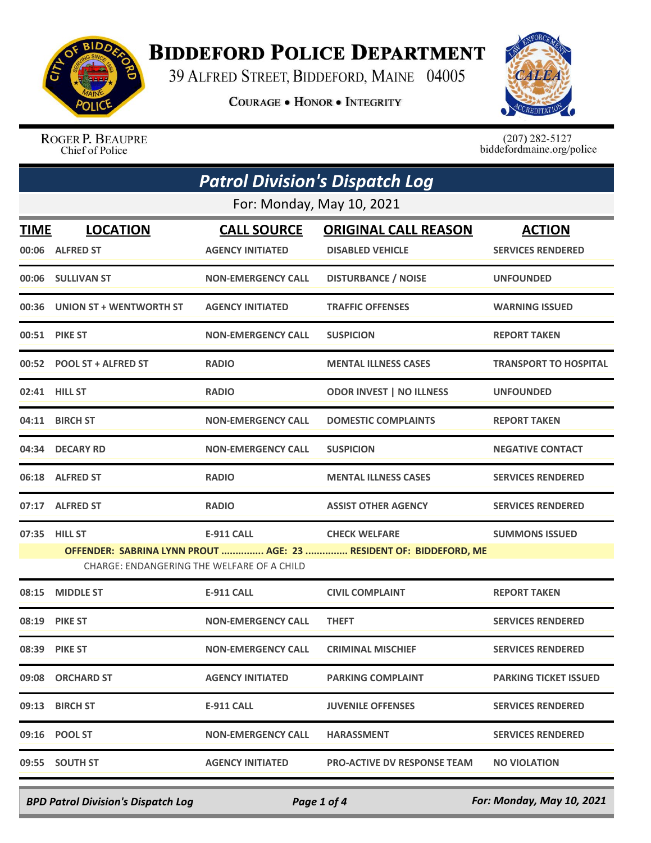

## **BIDDEFORD POLICE DEPARTMENT**

39 ALFRED STREET, BIDDEFORD, MAINE 04005

**COURAGE . HONOR . INTEGRITY** 



ROGER P. BEAUPRE Chief of Police

 $(207)$  282-5127<br>biddefordmaine.org/police

|                                                                                                                 | <b>Patrol Division's Dispatch Log</b> |                           |                                    |                              |  |
|-----------------------------------------------------------------------------------------------------------------|---------------------------------------|---------------------------|------------------------------------|------------------------------|--|
|                                                                                                                 | For: Monday, May 10, 2021             |                           |                                    |                              |  |
| <b>TIME</b>                                                                                                     | <b>LOCATION</b>                       | <b>CALL SOURCE</b>        | <b>ORIGINAL CALL REASON</b>        | <b>ACTION</b>                |  |
| 00:06                                                                                                           | <b>ALFRED ST</b>                      | <b>AGENCY INITIATED</b>   | <b>DISABLED VEHICLE</b>            | <b>SERVICES RENDERED</b>     |  |
|                                                                                                                 | 00:06 SULLIVAN ST                     | <b>NON-EMERGENCY CALL</b> | <b>DISTURBANCE / NOISE</b>         | <b>UNFOUNDED</b>             |  |
| 00:36                                                                                                           | UNION ST + WENTWORTH ST               | <b>AGENCY INITIATED</b>   | <b>TRAFFIC OFFENSES</b>            | <b>WARNING ISSUED</b>        |  |
|                                                                                                                 | <b>00:51 PIKE ST</b>                  | <b>NON-EMERGENCY CALL</b> | <b>SUSPICION</b>                   | <b>REPORT TAKEN</b>          |  |
|                                                                                                                 | 00:52 POOL ST + ALFRED ST             | <b>RADIO</b>              | <b>MENTAL ILLNESS CASES</b>        | <b>TRANSPORT TO HOSPITAL</b> |  |
|                                                                                                                 | 02:41 HILL ST                         | <b>RADIO</b>              | <b>ODOR INVEST   NO ILLNESS</b>    | <b>UNFOUNDED</b>             |  |
|                                                                                                                 | 04:11 BIRCH ST                        | <b>NON-EMERGENCY CALL</b> | <b>DOMESTIC COMPLAINTS</b>         | <b>REPORT TAKEN</b>          |  |
| 04:34                                                                                                           | <b>DECARY RD</b>                      | <b>NON-EMERGENCY CALL</b> | <b>SUSPICION</b>                   | <b>NEGATIVE CONTACT</b>      |  |
|                                                                                                                 | 06:18 ALFRED ST                       | <b>RADIO</b>              | <b>MENTAL ILLNESS CASES</b>        | <b>SERVICES RENDERED</b>     |  |
| 07:17                                                                                                           | <b>ALFRED ST</b>                      | <b>RADIO</b>              | <b>ASSIST OTHER AGENCY</b>         | <b>SERVICES RENDERED</b>     |  |
|                                                                                                                 | 07:35 HILL ST                         | E-911 CALL                | <b>CHECK WELFARE</b>               | <b>SUMMONS ISSUED</b>        |  |
| OFFENDER: SABRINA LYNN PROUT  AGE: 23  RESIDENT OF: BIDDEFORD, ME<br>CHARGE: ENDANGERING THE WELFARE OF A CHILD |                                       |                           |                                    |                              |  |
| 08:15                                                                                                           | <b>MIDDLE ST</b>                      | <b>E-911 CALL</b>         | <b>CIVIL COMPLAINT</b>             | <b>REPORT TAKEN</b>          |  |
| 08:19                                                                                                           | <b>PIKE ST</b>                        | <b>NON-EMERGENCY CALL</b> | <b>THEFT</b>                       | <b>SERVICES RENDERED</b>     |  |
|                                                                                                                 | 08:39 PIKE ST                         | <b>NON-EMERGENCY CALL</b> | <b>CRIMINAL MISCHIEF</b>           | <b>SERVICES RENDERED</b>     |  |
|                                                                                                                 | 09:08 ORCHARD ST                      | <b>AGENCY INITIATED</b>   | <b>PARKING COMPLAINT</b>           | <b>PARKING TICKET ISSUED</b> |  |
| 09:13                                                                                                           | <b>BIRCH ST</b>                       | <b>E-911 CALL</b>         | <b>JUVENILE OFFENSES</b>           | <b>SERVICES RENDERED</b>     |  |
|                                                                                                                 | 09:16 POOL ST                         | <b>NON-EMERGENCY CALL</b> | <b>HARASSMENT</b>                  | <b>SERVICES RENDERED</b>     |  |
|                                                                                                                 | 09:55 SOUTH ST                        | <b>AGENCY INITIATED</b>   | <b>PRO-ACTIVE DV RESPONSE TEAM</b> | <b>NO VIOLATION</b>          |  |

*BPD Patrol Division's Dispatch Log Page 1 of 4 For: Monday, May 10, 2021*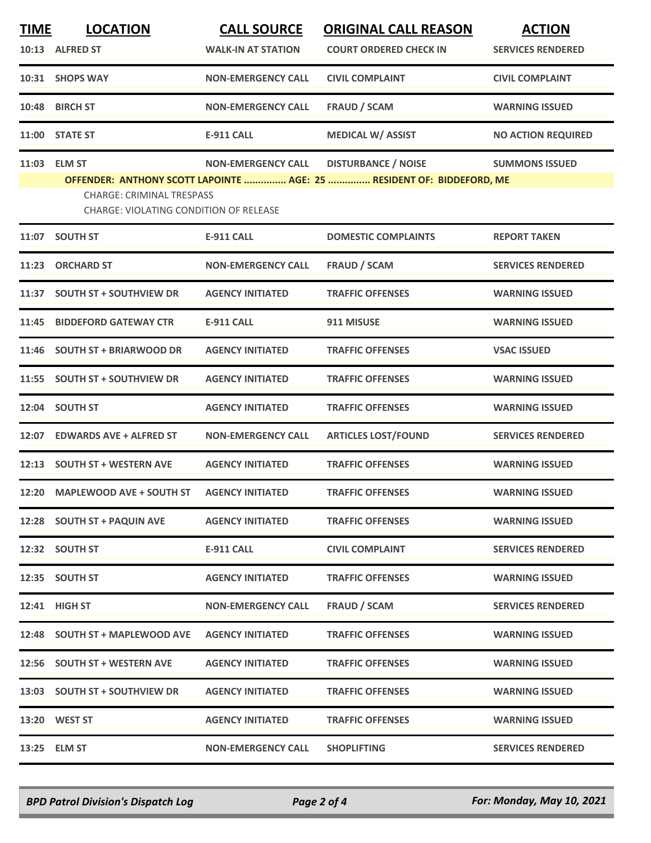| <u>TIME</u> | <b>LOCATION</b>                                                            | <b>CALL SOURCE</b>        | <b>ORIGINAL CALL REASON</b>                                           | <b>ACTION</b>             |
|-------------|----------------------------------------------------------------------------|---------------------------|-----------------------------------------------------------------------|---------------------------|
|             | 10:13 ALFRED ST                                                            | <b>WALK-IN AT STATION</b> | <b>COURT ORDERED CHECK IN</b>                                         | <b>SERVICES RENDERED</b>  |
| 10:31       | <b>SHOPS WAY</b>                                                           | <b>NON-EMERGENCY CALL</b> | <b>CIVIL COMPLAINT</b>                                                | <b>CIVIL COMPLAINT</b>    |
| 10:48       | <b>BIRCH ST</b>                                                            | <b>NON-EMERGENCY CALL</b> | <b>FRAUD / SCAM</b>                                                   | <b>WARNING ISSUED</b>     |
| 11:00       | <b>STATE ST</b>                                                            | <b>E-911 CALL</b>         | <b>MEDICAL W/ ASSIST</b>                                              | <b>NO ACTION REQUIRED</b> |
| 11:03       | <b>ELM ST</b>                                                              | <b>NON-EMERGENCY CALL</b> | <b>DISTURBANCE / NOISE</b>                                            | <b>SUMMONS ISSUED</b>     |
|             | <b>CHARGE: CRIMINAL TRESPASS</b><br>CHARGE: VIOLATING CONDITION OF RELEASE |                           | OFFENDER: ANTHONY SCOTT LAPOINTE  AGE: 25  RESIDENT OF: BIDDEFORD, ME |                           |
| 11:07       | <b>SOUTH ST</b>                                                            | E-911 CALL                | <b>DOMESTIC COMPLAINTS</b>                                            | <b>REPORT TAKEN</b>       |
| 11:23       | <b>ORCHARD ST</b>                                                          | <b>NON-EMERGENCY CALL</b> | <b>FRAUD / SCAM</b>                                                   | <b>SERVICES RENDERED</b>  |
| 11:37       | <b>SOUTH ST + SOUTHVIEW DR</b>                                             | <b>AGENCY INITIATED</b>   | <b>TRAFFIC OFFENSES</b>                                               | <b>WARNING ISSUED</b>     |
| 11:45       | <b>BIDDEFORD GATEWAY CTR</b>                                               | <b>E-911 CALL</b>         | 911 MISUSE                                                            | <b>WARNING ISSUED</b>     |
| 11:46       | <b>SOUTH ST + BRIARWOOD DR</b>                                             | <b>AGENCY INITIATED</b>   | <b>TRAFFIC OFFENSES</b>                                               | <b>VSAC ISSUED</b>        |
| 11:55       | <b>SOUTH ST + SOUTHVIEW DR</b>                                             | <b>AGENCY INITIATED</b>   | <b>TRAFFIC OFFENSES</b>                                               | <b>WARNING ISSUED</b>     |
| 12:04       | <b>SOUTH ST</b>                                                            | <b>AGENCY INITIATED</b>   | <b>TRAFFIC OFFENSES</b>                                               | <b>WARNING ISSUED</b>     |
| 12:07       | <b>EDWARDS AVE + ALFRED ST</b>                                             | <b>NON-EMERGENCY CALL</b> | <b>ARTICLES LOST/FOUND</b>                                            | <b>SERVICES RENDERED</b>  |
| 12:13       | <b>SOUTH ST + WESTERN AVE</b>                                              | <b>AGENCY INITIATED</b>   | <b>TRAFFIC OFFENSES</b>                                               | <b>WARNING ISSUED</b>     |
| 12:20       | <b>MAPLEWOOD AVE + SOUTH ST</b>                                            | <b>AGENCY INITIATED</b>   | <b>TRAFFIC OFFENSES</b>                                               | <b>WARNING ISSUED</b>     |
|             | 12:28 SOUTH ST + PAQUIN AVE                                                | <b>AGENCY INITIATED</b>   | <b>TRAFFIC OFFENSES</b>                                               | <b>WARNING ISSUED</b>     |
|             | 12:32 SOUTH ST                                                             | E-911 CALL                | <b>CIVIL COMPLAINT</b>                                                | <b>SERVICES RENDERED</b>  |
|             | 12:35 SOUTH ST                                                             | <b>AGENCY INITIATED</b>   | <b>TRAFFIC OFFENSES</b>                                               | <b>WARNING ISSUED</b>     |
|             | 12:41 HIGH ST                                                              | <b>NON-EMERGENCY CALL</b> | <b>FRAUD / SCAM</b>                                                   | <b>SERVICES RENDERED</b>  |
|             | 12:48 SOUTH ST + MAPLEWOOD AVE                                             | <b>AGENCY INITIATED</b>   | <b>TRAFFIC OFFENSES</b>                                               | <b>WARNING ISSUED</b>     |
|             | 12:56 SOUTH ST + WESTERN AVE                                               | <b>AGENCY INITIATED</b>   | <b>TRAFFIC OFFENSES</b>                                               | <b>WARNING ISSUED</b>     |
| 13:03       | <b>SOUTH ST + SOUTHVIEW DR</b>                                             | <b>AGENCY INITIATED</b>   | <b>TRAFFIC OFFENSES</b>                                               | <b>WARNING ISSUED</b>     |
|             | 13:20 WEST ST                                                              | <b>AGENCY INITIATED</b>   | <b>TRAFFIC OFFENSES</b>                                               | <b>WARNING ISSUED</b>     |
|             | 13:25 ELM ST                                                               | <b>NON-EMERGENCY CALL</b> | <b>SHOPLIFTING</b>                                                    | <b>SERVICES RENDERED</b>  |
|             |                                                                            |                           |                                                                       |                           |

*BPD Patrol Division's Dispatch Log Page 2 of 4 For: Monday, May 10, 2021*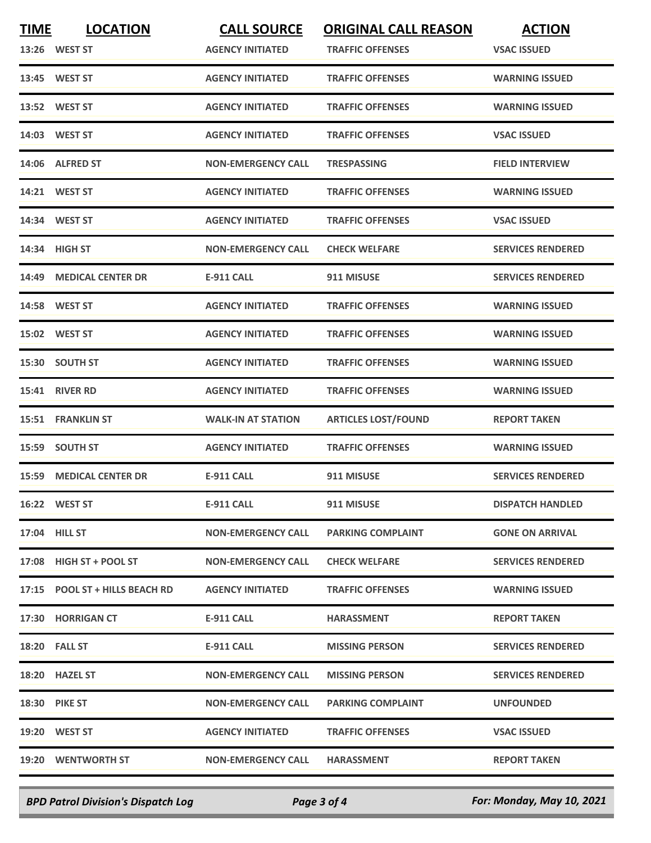| <b>TIME</b> | <b>LOCATION</b>                | <b>CALL SOURCE</b>        | <b>ORIGINAL CALL REASON</b> | <b>ACTION</b>            |
|-------------|--------------------------------|---------------------------|-----------------------------|--------------------------|
|             | 13:26 WEST ST                  | <b>AGENCY INITIATED</b>   | <b>TRAFFIC OFFENSES</b>     | <b>VSAC ISSUED</b>       |
|             | 13:45 WEST ST                  | <b>AGENCY INITIATED</b>   | <b>TRAFFIC OFFENSES</b>     | <b>WARNING ISSUED</b>    |
|             | 13:52 WEST ST                  | <b>AGENCY INITIATED</b>   | <b>TRAFFIC OFFENSES</b>     | <b>WARNING ISSUED</b>    |
|             | 14:03 WEST ST                  | <b>AGENCY INITIATED</b>   | <b>TRAFFIC OFFENSES</b>     | <b>VSAC ISSUED</b>       |
|             | 14:06 ALFRED ST                | <b>NON-EMERGENCY CALL</b> | <b>TRESPASSING</b>          | <b>FIELD INTERVIEW</b>   |
|             | 14:21 WEST ST                  | <b>AGENCY INITIATED</b>   | <b>TRAFFIC OFFENSES</b>     | <b>WARNING ISSUED</b>    |
|             | 14:34 WEST ST                  | <b>AGENCY INITIATED</b>   | <b>TRAFFIC OFFENSES</b>     | <b>VSAC ISSUED</b>       |
|             | 14:34 HIGH ST                  | <b>NON-EMERGENCY CALL</b> | <b>CHECK WELFARE</b>        | <b>SERVICES RENDERED</b> |
|             | 14:49 MEDICAL CENTER DR        | <b>E-911 CALL</b>         | 911 MISUSE                  | <b>SERVICES RENDERED</b> |
|             | <b>14:58 WEST ST</b>           | <b>AGENCY INITIATED</b>   | <b>TRAFFIC OFFENSES</b>     | <b>WARNING ISSUED</b>    |
|             | 15:02 WEST ST                  | <b>AGENCY INITIATED</b>   | <b>TRAFFIC OFFENSES</b>     | <b>WARNING ISSUED</b>    |
|             | 15:30 SOUTH ST                 | <b>AGENCY INITIATED</b>   | <b>TRAFFIC OFFENSES</b>     | <b>WARNING ISSUED</b>    |
|             | <b>15:41 RIVER RD</b>          | <b>AGENCY INITIATED</b>   | <b>TRAFFIC OFFENSES</b>     | <b>WARNING ISSUED</b>    |
|             | 15:51 FRANKLIN ST              | <b>WALK-IN AT STATION</b> | <b>ARTICLES LOST/FOUND</b>  | <b>REPORT TAKEN</b>      |
|             | 15:59 SOUTH ST                 | <b>AGENCY INITIATED</b>   | <b>TRAFFIC OFFENSES</b>     | <b>WARNING ISSUED</b>    |
|             | <b>15:59 MEDICAL CENTER DR</b> | <b>E-911 CALL</b>         | 911 MISUSE                  | <b>SERVICES RENDERED</b> |
|             | 16:22 WEST ST                  | E-911 CALL                | 911 MISUSE                  | <b>DISPATCH HANDLED</b>  |
|             | 17:04 HILL ST                  | <b>NON-EMERGENCY CALL</b> | <b>PARKING COMPLAINT</b>    | <b>GONE ON ARRIVAL</b>   |
|             | 17:08 HIGH ST + POOL ST        | NON-EMERGENCY CALL        | <b>CHECK WELFARE</b>        | <b>SERVICES RENDERED</b> |
|             | 17:15 POOL ST + HILLS BEACH RD | <b>AGENCY INITIATED</b>   | <b>TRAFFIC OFFENSES</b>     | <b>WARNING ISSUED</b>    |
|             | 17:30 HORRIGAN CT              | E-911 CALL                | HARASSMENT                  | <b>REPORT TAKEN</b>      |
|             | <b>18:20 FALL ST</b>           | E-911 CALL                | <b>MISSING PERSON</b>       | <b>SERVICES RENDERED</b> |
|             | 18:20 HAZEL ST                 | <b>NON-EMERGENCY CALL</b> | <b>MISSING PERSON</b>       | <b>SERVICES RENDERED</b> |
|             | <b>18:30 PIKE ST</b>           | <b>NON-EMERGENCY CALL</b> | <b>PARKING COMPLAINT</b>    | <b>UNFOUNDED</b>         |
|             | 19:20 WEST ST                  | <b>AGENCY INITIATED</b>   | <b>TRAFFIC OFFENSES</b>     | <b>VSAC ISSUED</b>       |
|             | 19:20 WENTWORTH ST             | <b>NON-EMERGENCY CALL</b> | <b>HARASSMENT</b>           | <b>REPORT TAKEN</b>      |
|             |                                |                           |                             |                          |

*BPD Patrol Division's Dispatch Log Page 3 of 4 For: Monday, May 10, 2021*